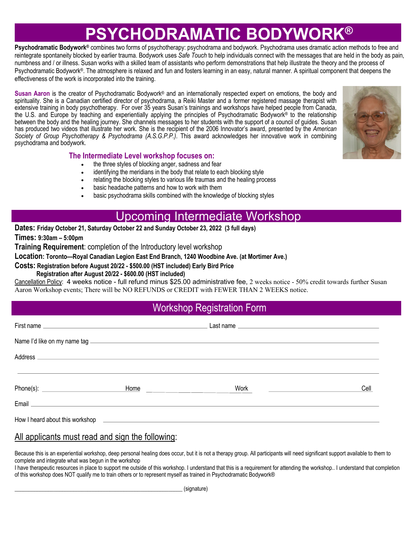# **PSYCHODRAMATIC BODYWOR**

**Psychodramatic Bodywork®** combines two forms of psychotherapy: psychodrama and bodywork. Psychodrama uses dramatic action methods to free and reintegrate spontaneity blocked by earlier trauma. Bodywork uses *Safe Touch* to help individuals connect with the messages that are held in the body as pain, numbness and / or illness. Susan works with a skilled team of assistants who perform demonstrations that help illustrate the theory and the process of Psychodramatic Bodywork®. The atmosphere is relaxed and fun and fosters learning in an easy, natural manner. A spiritual component that deepens the effectiveness of the work is incorporated into the training.

**Susan Aaron** is the creator of Psychodramatic Bodywork® and an internationally respected expert on emotions, the body and spirituality. She is a Canadian certified director of psychodrama, a Reiki Master and a former registered massage therapist with extensive training in body psychotherapy. For over 35 years Susan's trainings and workshops have helped people from Canada, the U.S. and Europe by teaching and experientially applying the principles of Psychodramatic Bodywork® to the relationship between the body and the healing journey. She channels messages to her students with the support of a council of guides. Susan has produced two videos that illustrate her work. She is the recipient of the 2006 Innovator's award, presented by the *American Society of Group Psychotherapy & Psychodrama (A.S.G.P.P.)*. This award acknowledges her innovative work in combining psychodrama and bodywork.

#### **The Intermediate Level workshop focuses on:**

- the three styles of blocking anger, sadness and fear
- identifying the meridians in the body that relate to each blocking style
- relating the blocking styles to various life traumas and the healing process
- basic headache patterns and how to work with them
- basic psychodrama skills combined with the knowledge of blocking styles

## Upcoming Intermediate Workshop

**Dates: Friday October 21, Saturday October 22 and Sunday October 23, 2022 (3 full days)**

**Times: 9:30am – 5:00pm**

**.** 

**Training Requirement**: completion of the Introductory level workshop

**Location: Toronto—Royal Canadian Legion East End Branch, 1240 Woodbine Ave. (at Mortimer Ave.)**

**Costs: Registration before August 20/22 - \$500.00 (HST included) Early Bird Price**

 **Registration after August 20/22 - \$600.00 (HST included)**

Cancellation Policy: 4 weeks notice - full refund minus \$25.00 administrative fee, 2 weeks notice - 50% credit towards further Susan Aaron Workshop events; There will be NO REFUNDS or CREDIT with FEWER THAN 2 WEEKS notice.

### Workshop Registration Form

| First name <u>experience</u> and the contract of the contract of the contract of the contract of the contract of the contract of the contract of the contract of the contract of the contract of the contract of the contract of th |                                                                                                                      | Last name <u>experience and a series of the series of the series of the series of the series of the series of the series of the series of the series of the series of the series of the series of the series of the series of th</u> |      |
|-------------------------------------------------------------------------------------------------------------------------------------------------------------------------------------------------------------------------------------|----------------------------------------------------------------------------------------------------------------------|--------------------------------------------------------------------------------------------------------------------------------------------------------------------------------------------------------------------------------------|------|
|                                                                                                                                                                                                                                     |                                                                                                                      |                                                                                                                                                                                                                                      |      |
|                                                                                                                                                                                                                                     |                                                                                                                      |                                                                                                                                                                                                                                      |      |
|                                                                                                                                                                                                                                     | Home <b>Home Executive Executive EXECUTIVE EXECUTIVE EXECUTIVE EXECUTIVE EXECUTIVE EXECUTIVE EXECUTIVE EXECUTIVE</b> | Work<br><u> 1989 - Andrea Station Barbara, politik eta provincia eta provincia eta provincia eta provincia eta provincia</u>                                                                                                         | Cell |
|                                                                                                                                                                                                                                     |                                                                                                                      |                                                                                                                                                                                                                                      |      |
|                                                                                                                                                                                                                                     |                                                                                                                      |                                                                                                                                                                                                                                      |      |

#### All applicants must read and sign the following:

Because this is an experiential workshop, deep personal healing does occur, but it is not a therapy group. All participants will need significant support available to them to complete and integrate what was begun in the workshop

I have therapeutic resources in place to support me outside of this workshop. I understand that this is a requirement for attending the workshop.. I understand that completion of this workshop does NOT qualify me to train others or to represent myself as trained in Psychodramatic Bodywork®